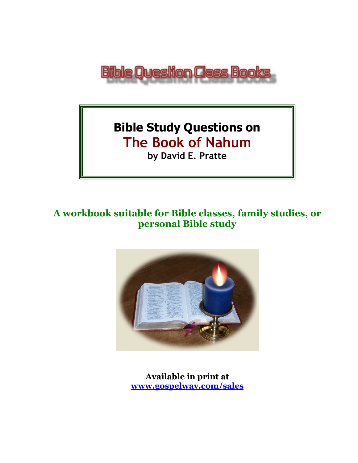

# **Bible Study Questions on The Book of Nahum**

**by David E. Pratte**

# **A workbook suitable for Bible classes, family studies, or personal Bible study**



**Available in print at [www.gospelway.com/sales](https://www.gospelway.com/sales)**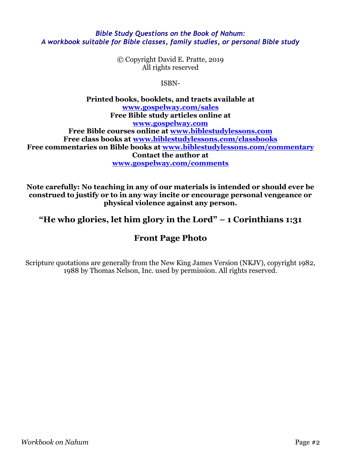#### *Bible Study Questions on the Book of Nahum: A workbook suitable for Bible classes, family studies, or personal Bible study*

© Copyright David E. Pratte, 2019 All rights reserved

ISBN-

**Printed books, booklets, and tracts available at [www.gospelway.com/sales](https://www.gospelway.com/sales) Free Bible study articles online at [www.gospelway.com](http://www.gospelway.com/) Free Bible courses online at [www.biblestudylessons.com](http://www.biblestudylessons.com/) Free class books at [www.biblestudylessons.com/classbooks](http://www.biblestudylessons.com/classbooks) Free commentaries on Bible books at [www.biblestudylessons.com/commentary](https://www.biblestudylessons.com/commentary) Contact the author at [www.gospelway.com/comments](http://www.gospelway.com/comments)**

**Note carefully: No teaching in any of our materials is intended or should ever be construed to justify or to in any way incite or encourage personal vengeance or physical violence against any person.**

**"He who glories, let him glory in the Lord" – 1 Corinthians 1:31**

# **Front Page Photo**

Scripture quotations are generally from the New King James Version (NKJV), copyright 1982, 1988 by Thomas Nelson, Inc. used by permission. All rights reserved.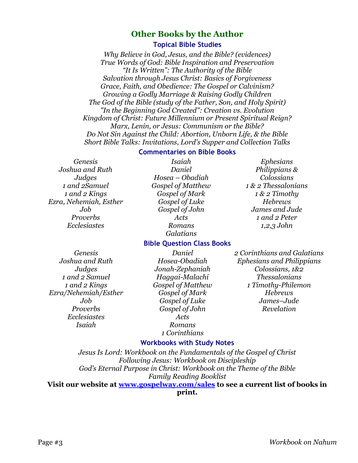### **Other Books by the Author**

#### **Topical Bible Studies**

*Why Believe in God, Jesus, and the Bible? (evidences) True Words of God: Bible Inspiration and Preservation "It Is Written": The Authority of the Bible Salvation through Jesus Christ: Basics of Forgiveness Grace, Faith, and Obedience: The Gospel or Calvinism? Growing a Godly Marriage & Raising Godly Children The God of the Bible (study of the Father, Son, and Holy Spirit) "In the Beginning God Created": Creation vs. Evolution Kingdom of Christ: Future Millennium or Present Spiritual Reign? Marx, Lenin, or Jesus: Communism or the Bible? Do Not Sin Against the Child: Abortion, Unborn Life, & the Bible Short Bible Talks: Invitations, Lord's Supper and Collection Talks*

#### **Commentaries on Bible Books**

*Genesis Joshua and Ruth Judges 1 and 2Samuel 1 and 2 Kings Ezra, Nehemiah, Esther Job Proverbs Ecclesiastes*

*Isaiah Daniel Hosea – Obadiah Gospel of Matthew Gospel of Mark Gospel of Luke Gospel of John Acts Romans Galatians*

#### *Ephesians Philippians & Colossians 1 & 2 Thessalonians 1 & 2 Timothy Hebrews James and Jude 1 and 2 Peter 1,2,3 John*

# **Bible Question Class Books**

*Genesis Joshua and Ruth Judges 1 and 2 Samuel 1 and 2 Kings Ezra/Nehemiah/Esther Job Proverbs Ecclesiastes Isaiah* 

*Daniel Hosea-Obadiah Jonah-Zephaniah Haggai-Malachi Gospel of Matthew Gospel of Mark Gospel of Luke Gospel of John Acts Romans 1 Corinthians*

#### *2 Corinthians and Galatians Ephesians and Philippians Colossians, 1&2 Thessalonians 1 Timothy-Philemon Hebrews James–Jude Revelation*

#### **Workbooks with Study Notes**

*Jesus Is Lord: Workbook on the Fundamentals of the Gospel of Christ Following Jesus: Workbook on Discipleship God's Eternal Purpose in Christ: Workbook on the Theme of the Bible Family Reading Booklist* **Visit our website at [www.gospelway.com/sales](https://www.gospelway.com/sales) to see a current list of books in** 

#### **print.**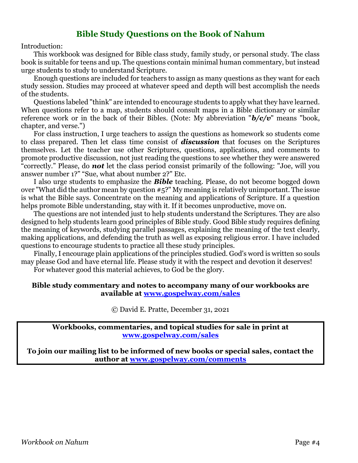### **Bible Study Questions on the Book of Nahum**

Introduction:

This workbook was designed for Bible class study, family study, or personal study. The class book is suitable for teens and up. The questions contain minimal human commentary, but instead urge students to study to understand Scripture.

Enough questions are included for teachers to assign as many questions as they want for each study session. Studies may proceed at whatever speed and depth will best accomplish the needs of the students.

Questions labeled "think" are intended to encourage students to apply what they have learned. When questions refer to a map, students should consult maps in a Bible dictionary or similar reference work or in the back of their Bibles. (Note: My abbreviation "*b/c/v*" means "book, chapter, and verse.")

For class instruction, I urge teachers to assign the questions as homework so students come to class prepared. Then let class time consist of *discussion* that focuses on the Scriptures themselves. Let the teacher use other Scriptures, questions, applications, and comments to promote productive discussion, not just reading the questions to see whether they were answered "correctly." Please, do *not* let the class period consist primarily of the following: "Joe, will you answer number 1?" "Sue, what about number 2?" Etc.

I also urge students to emphasize the *Bible* teaching. Please, do not become bogged down over "What did the author mean by question #5?" My meaning is relatively unimportant. The issue is what the Bible says. Concentrate on the meaning and applications of Scripture. If a question helps promote Bible understanding, stay with it. If it becomes unproductive, move on.

The questions are not intended just to help students understand the Scriptures. They are also designed to help students learn good principles of Bible study. Good Bible study requires defining the meaning of keywords, studying parallel passages, explaining the meaning of the text clearly, making applications, and defending the truth as well as exposing religious error. I have included questions to encourage students to practice all these study principles.

Finally, I encourage plain applications of the principles studied. God's word is written so souls may please God and have eternal life. Please study it with the respect and devotion it deserves!

For whatever good this material achieves, to God be the glory.

#### **Bible study commentary and notes to accompany many of our workbooks are available at [www.gospelway.com/sales](https://www.gospelway.com/sales)**

© David E. Pratte, December 31, 2021

**Workbooks, commentaries, and topical studies for sale in print at [www.gospelway.com/sales](https://www.gospelway.com/sales)**

**To join our mailing list to be informed of new books or special sales, contact the author at [www.gospelway.com/comments](http://www.gospelway.com/comments)**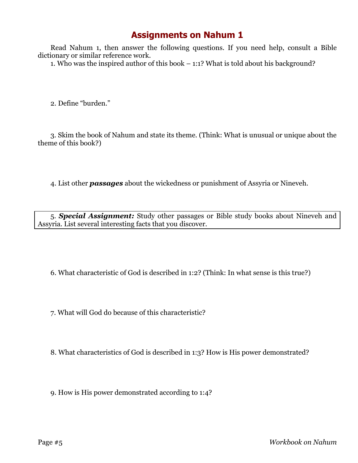# **Assignments on Nahum 1**

Read Nahum 1, then answer the following questions. If you need help, consult a Bible dictionary or similar reference work.

1. Who was the inspired author of this book – 1:1? What is told about his background?

2. Define "burden."

3. Skim the book of Nahum and state its theme. (Think: What is unusual or unique about the theme of this book?)

4. List other *passages* about the wickedness or punishment of Assyria or Nineveh.

5. *Special Assignment:* Study other passages or Bible study books about Nineveh and Assyria. List several interesting facts that you discover.

6. What characteristic of God is described in 1:2? (Think: In what sense is this true?)

7. What will God do because of this characteristic?

8. What characteristics of God is described in 1:3? How is His power demonstrated?

9. How is His power demonstrated according to 1:4?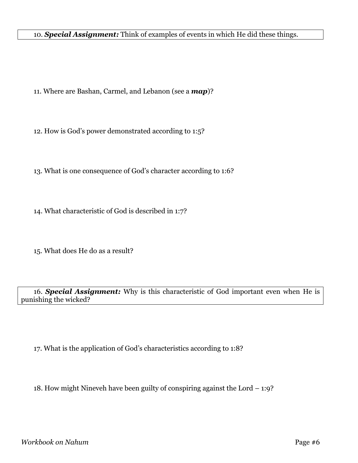10. *Special Assignment:* Think of examples of events in which He did these things.

11. Where are Bashan, Carmel, and Lebanon (see a *map*)?

12. How is God's power demonstrated according to 1:5?

13. What is one consequence of God's character according to 1:6?

14. What characteristic of God is described in 1:7?

15. What does He do as a result?

16. *Special Assignment:* Why is this characteristic of God important even when He is punishing the wicked?

17. What is the application of God's characteristics according to 1:8?

18. How might Nineveh have been guilty of conspiring against the Lord – 1:9?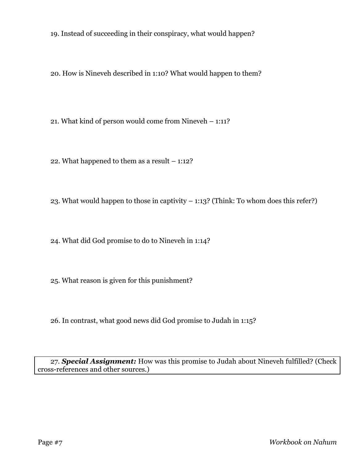19. Instead of succeeding in their conspiracy, what would happen?

20. How is Nineveh described in 1:10? What would happen to them?

21. What kind of person would come from Nineveh – 1:11?

22. What happened to them as a result – 1:12?

23. What would happen to those in captivity – 1:13? (Think: To whom does this refer?)

24. What did God promise to do to Nineveh in 1:14?

25. What reason is given for this punishment?

26. In contrast, what good news did God promise to Judah in 1:15?

27. *Special Assignment:* How was this promise to Judah about Nineveh fulfilled? (Check cross-references and other sources.)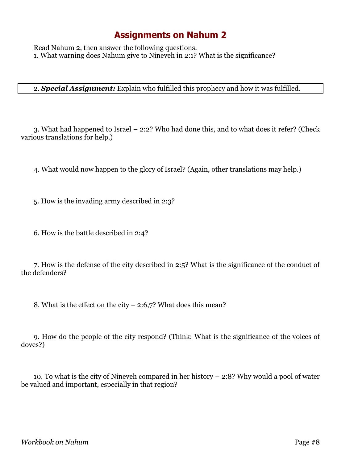# **Assignments on Nahum 2**

Read Nahum 2, then answer the following questions. 1. What warning does Nahum give to Nineveh in 2:1? What is the significance?

#### 2. *Special Assignment:* Explain who fulfilled this prophecy and how it was fulfilled.

3. What had happened to Israel – 2:2? Who had done this, and to what does it refer? (Check various translations for help.)

4. What would now happen to the glory of Israel? (Again, other translations may help.)

5. How is the invading army described in 2:3?

6. How is the battle described in 2:4?

7. How is the defense of the city described in 2:5? What is the significance of the conduct of the defenders?

8. What is the effect on the city – 2:6,7? What does this mean?

9. How do the people of the city respond? (Think: What is the significance of the voices of doves?)

10. To what is the city of Nineveh compared in her history – 2:8? Why would a pool of water be valued and important, especially in that region?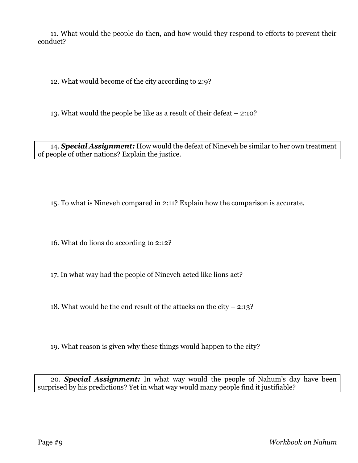11. What would the people do then, and how would they respond to efforts to prevent their conduct?

12. What would become of the city according to 2:9?

13. What would the people be like as a result of their defeat – 2:10?

14. *Special Assignment:* How would the defeat of Nineveh be similar to her own treatment of people of other nations? Explain the justice.

15. To what is Nineveh compared in 2:11? Explain how the comparison is accurate.

16. What do lions do according to 2:12?

17. In what way had the people of Nineveh acted like lions act?

18. What would be the end result of the attacks on the city – 2:13?

19. What reason is given why these things would happen to the city?

20. *Special Assignment:* In what way would the people of Nahum's day have been surprised by his predictions? Yet in what way would many people find it justifiable?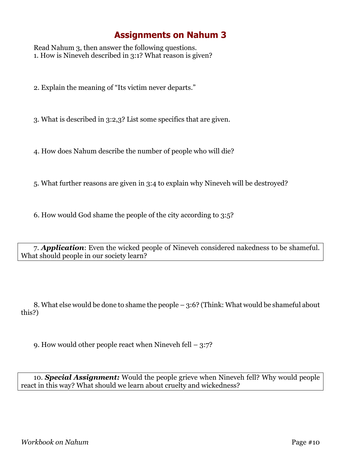# **Assignments on Nahum 3**

Read Nahum 3, then answer the following questions. 1. How is Nineveh described in 3:1? What reason is given?

2. Explain the meaning of "Its victim never departs."

3. What is described in 3:2,3? List some specifics that are given.

4. How does Nahum describe the number of people who will die?

5. What further reasons are given in 3:4 to explain why Nineveh will be destroyed?

6. How would God shame the people of the city according to 3:5?

7. *Application*: Even the wicked people of Nineveh considered nakedness to be shameful. What should people in our society learn?

8. What else would be done to shame the people – 3:6? (Think: What would be shameful about this?)

9. How would other people react when Nineveh fell – 3:7?

10. *Special Assignment:* Would the people grieve when Nineveh fell? Why would people react in this way? What should we learn about cruelty and wickedness?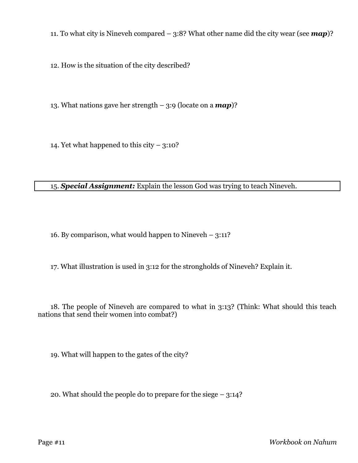11. To what city is Nineveh compared – 3:8? What other name did the city wear (see *map*)?

12. How is the situation of the city described?

13. What nations gave her strength – 3:9 (locate on a *map*)?

14. Yet what happened to this city  $-$  3:10?

#### 15. *Special Assignment:* Explain the lesson God was trying to teach Nineveh.

16. By comparison, what would happen to Nineveh – 3:11?

17. What illustration is used in 3:12 for the strongholds of Nineveh? Explain it.

18. The people of Nineveh are compared to what in 3:13? (Think: What should this teach nations that send their women into combat?)

19. What will happen to the gates of the city?

20. What should the people do to prepare for the siege – 3:14?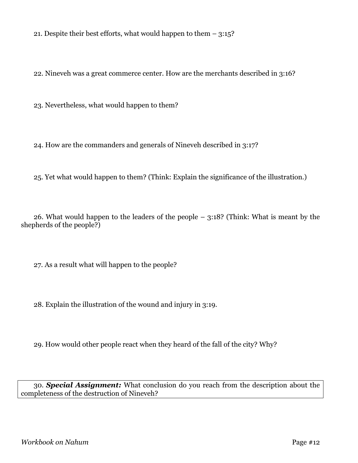21. Despite their best efforts, what would happen to them – 3:15?

22. Nineveh was a great commerce center. How are the merchants described in 3:16?

23. Nevertheless, what would happen to them?

24. How are the commanders and generals of Nineveh described in 3:17?

25. Yet what would happen to them? (Think: Explain the significance of the illustration.)

26. What would happen to the leaders of the people – 3:18? (Think: What is meant by the shepherds of the people?)

27. As a result what will happen to the people?

28. Explain the illustration of the wound and injury in 3:19.

29. How would other people react when they heard of the fall of the city? Why?

30. *Special Assignment:* What conclusion do you reach from the description about the completeness of the destruction of Nineveh?